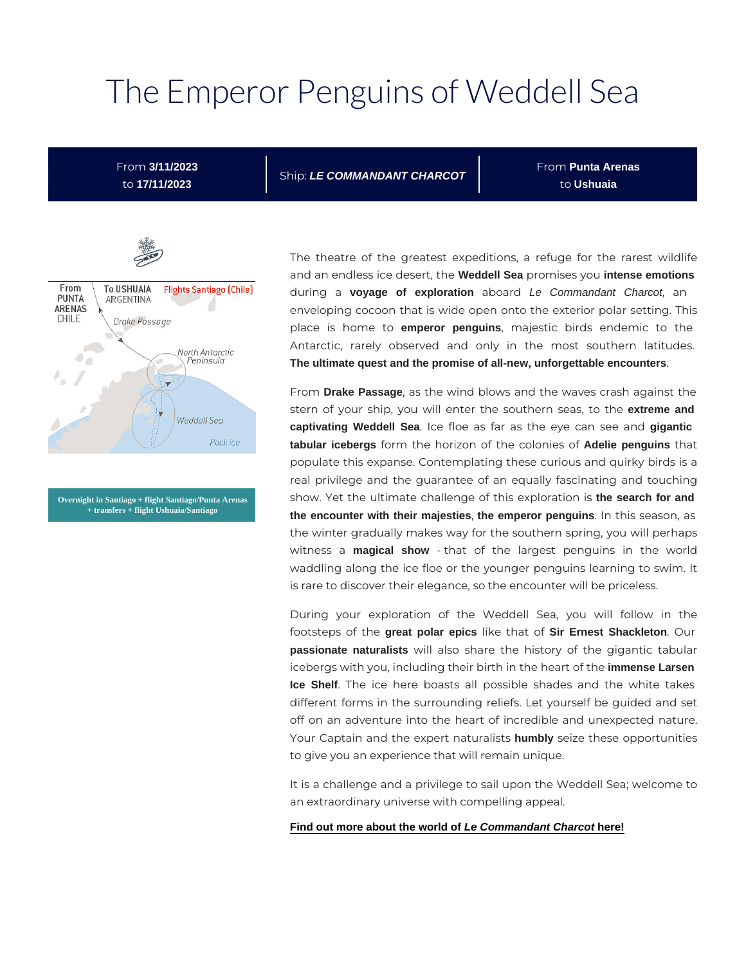# The Emperor Penguins of W

From 3/11/2023 to 17/11/2023

ShipLE COMMANDANT CHARCOT

F r o nPunta Arenas t oUshuaia



The theatre of the greatest expeditions, a refuge for and an endless ice deWseddell, Seah epromises inytense emotions during voavage of exploration a boated Commandant Charcot, an enveloping cocoon that is wide open onto the exterior p place is homemeperoto penguins, majestic birds endemic to Antarctic, rarely observed and only in the most The ultimate quest and the promise of all-new, unforgettable encounters .

From Drake Passage, as the wind blows and the waves crash stern of your ship, you will enter the soexuttelmeerandseas, captivating Weddell Sea . Ice floe as far as the eygieganoti**ca**n see tabularicebergs form the horizon of the Adelie openingusins of that populate this expanse. Contemplating these curious and real privilege and the guarantee of an equally fascinat show. Yet the ultimate challenge of this exemplor and ion is the encounter with their majesties , the emperor penguins . In this season, a the winter gradually makes way for the southern spring, witness magical show - that of the largest penguins in waddling along the ice floe or the younger penguins lea is rare to discover their elegance, so the encounter will b

During your exploration of the Weddell Sea, you footsteps of the great polar epics like thas ir Formest Shackleton . Our passionate naturalists will also share the history of the gig icebergs with you, including their birth immethee has seent of the Ice Shelf. The ice here boasts all possible shades and different forms in the surrounding reliefs. Let yourself I off on an adventure into the heart of incredible and un Your Captain and the expert numbly usel izset sthese opportuniti to give you an experience that will remain unique.

It is a challenge and a privilege to sail upon the Weddel an extraordinary universe with compelling appeal.

[Find out more about the world of Le Commandant Charcot here!](https://en.calameo.com/read/000132423afed77b51b42)

Overnight in Santiago + flight Santiago/Punta Arenas + transfers + flight Ushuaia/Santiago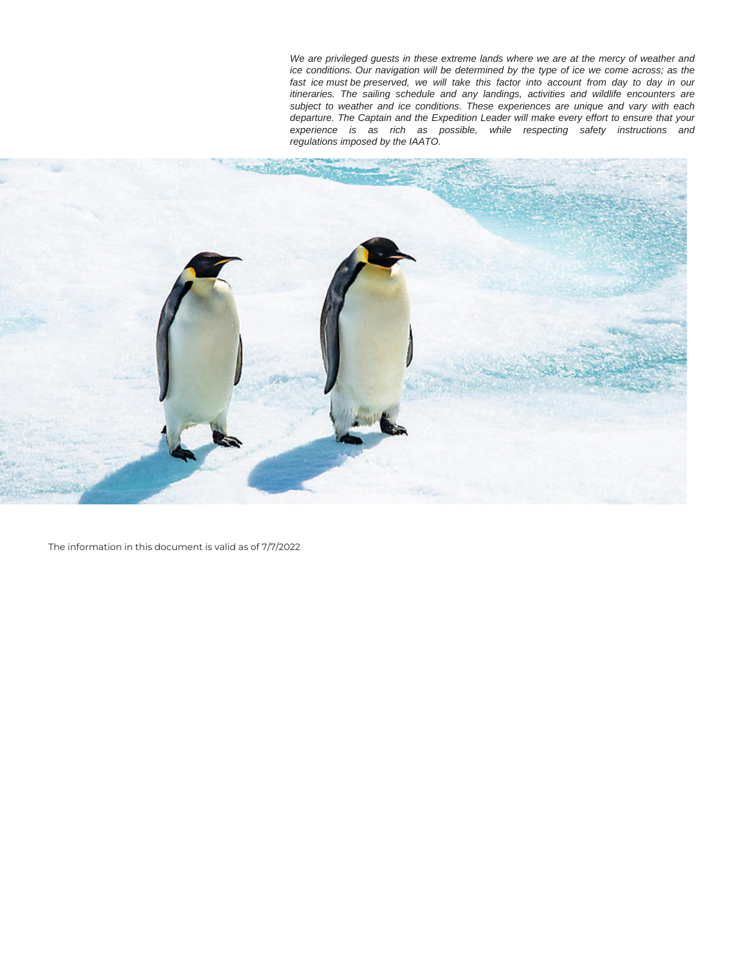We are privileged guests in these extreme lands where we are at the mercy of weather and ice conditions. Our navigation will be determined by the type of ice we come across; as the fast ice must be preserved, we will take this factor into account from day to day in our itineraries. The sailing schedule and any landings, activities and wildlife encounters are subject to weather and ice conditions. These experiences are unique and vary with each departure. The Captain and the Expedition Leader will make every effort to ensure that your experience is as rich as possible, while respecting safety instructions and regulations imposed by the IAATO.



The information in this document is valid as of 7/7/2022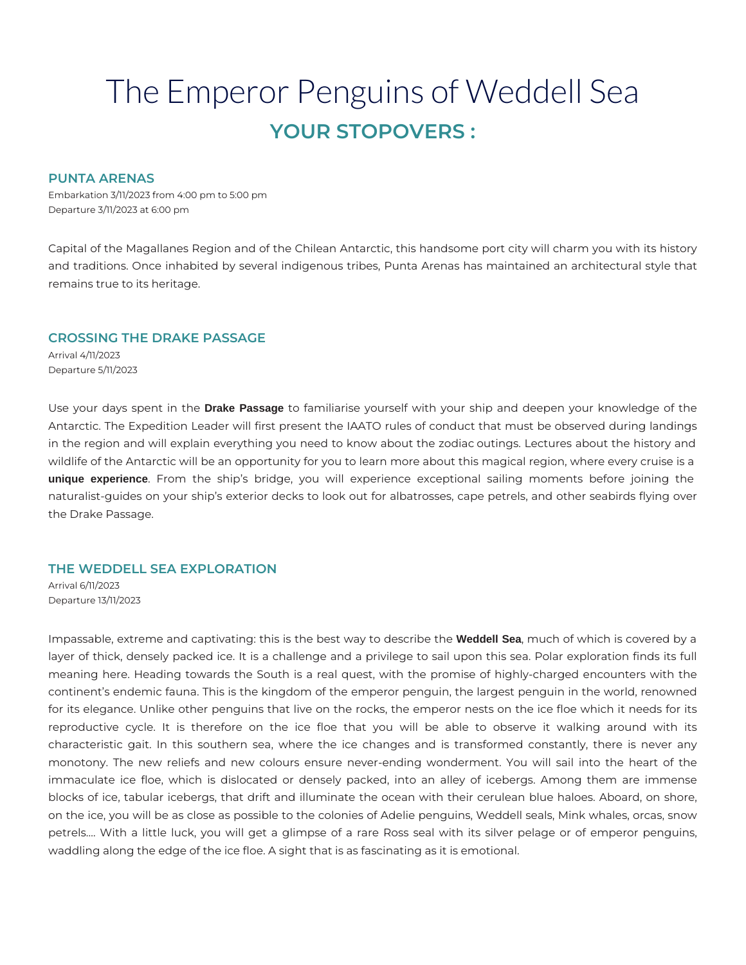# The Emperor Penguins of Weddell Sea **YOUR STOPOVERS :**

#### **PUNTA ARENAS**

Embarkation 3/11/2023 from 4:00 pm to 5:00 pm Departure 3/11/2023 at 6:00 pm

Capital of the Magallanes Region and of the Chilean Antarctic, this handsome port city will charm you with its history and traditions. Once inhabited by several indigenous tribes, Punta Arenas has maintained an architectural style that remains true to its heritage.

## **CROSSING THE DRAKE PASSAGE**

Arrival 4/11/2023 Departure 5/11/2023

Use your days spent in the **Drake Passage** to familiarise yourself with your ship and deepen your knowledge of the Antarctic. The Expedition Leader will first present the IAATO rules of conduct that must be observed during landings in the region and will explain everything you need to know about the zodiac outings. Lectures about the history and wildlife of the Antarctic will be an opportunity for you to learn more about this magical region, where every cruise is a **unique experience**. From the ship's bridge, you will experience exceptional sailing moments before joining the naturalist-guides on your ship's exterior decks to look out for albatrosses, cape petrels, and other seabirds flying over the Drake Passage.

# **THE WEDDELL SEA EXPLORATION**

Arrival 6/11/2023 Departure 13/11/2023

Impassable, extreme and captivating: this is the best way to describe the **Weddell Sea**, much of which is covered by a layer of thick, densely packed ice. It is a challenge and a privilege to sail upon this sea. Polar exploration finds its full meaning here. Heading towards the South is a real quest, with the promise of highly-charged encounters with the continent's endemic fauna. This is the kingdom of the emperor penguin, the largest penguin in the world, renowned for its elegance. Unlike other penguins that live on the rocks, the emperor nests on the ice floe which it needs for its reproductive cycle. It is therefore on the ice floe that you will be able to observe it walking around with its characteristic gait. In this southern sea, where the ice changes and is transformed constantly, there is never any monotony. The new reliefs and new colours ensure never-ending wonderment. You will sail into the heart of the immaculate ice floe, which is dislocated or densely packed, into an alley of icebergs. Among them are immense blocks of ice, tabular icebergs, that drift and illuminate the ocean with their cerulean blue haloes. Aboard, on shore, on the ice, you will be as close as possible to the colonies of Adelie penguins, Weddell seals, Mink whales, orcas, snow petrels.… With a little luck, you will get a glimpse of a rare Ross seal with its silver pelage or of emperor penguins, waddling along the edge of the ice floe. A sight that is as fascinating as it is emotional.